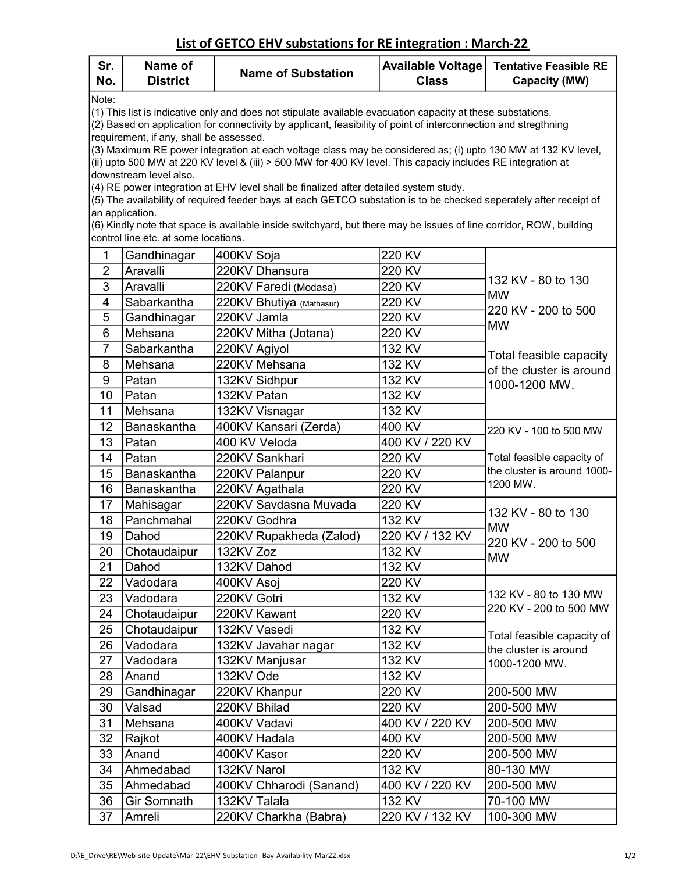## List of GETCO EHV substations for RE integration : March-22

| Sr.<br>No.                                                                                                                                                                                                                                                                         | Name of<br><b>District</b>                                                                                                            | <b>Name of Substation</b>                                                                                          | <b>Available Voltage</b><br><b>Class</b> | <b>Tentative Feasible RE</b><br><b>Capacity (MW)</b>                                                                    |  |  |  |  |  |
|------------------------------------------------------------------------------------------------------------------------------------------------------------------------------------------------------------------------------------------------------------------------------------|---------------------------------------------------------------------------------------------------------------------------------------|--------------------------------------------------------------------------------------------------------------------|------------------------------------------|-------------------------------------------------------------------------------------------------------------------------|--|--|--|--|--|
| Note:<br>(1) This list is indicative only and does not stipulate available evacuation capacity at these substations.<br>(2) Based on application for connectivity by applicant, feasibility of point of interconnection and stregthning<br>requirement, if any, shall be assessed. |                                                                                                                                       |                                                                                                                    |                                          |                                                                                                                         |  |  |  |  |  |
| (3) Maximum RE power integration at each voltage class may be considered as; (i) upto 130 MW at 132 KV level,<br>(ii) upto 500 MW at 220 KV level & (iii) > 500 MW for 400 KV level. This capaciy includes RE integration at                                                       |                                                                                                                                       |                                                                                                                    |                                          |                                                                                                                         |  |  |  |  |  |
| downstream level also.<br>(4) RE power integration at EHV level shall be finalized after detailed system study.                                                                                                                                                                    |                                                                                                                                       |                                                                                                                    |                                          |                                                                                                                         |  |  |  |  |  |
|                                                                                                                                                                                                                                                                                    | (5) The availability of required feeder bays at each GETCO substation is to be checked seperately after receipt of<br>an application. |                                                                                                                    |                                          |                                                                                                                         |  |  |  |  |  |
|                                                                                                                                                                                                                                                                                    |                                                                                                                                       | (6) Kindly note that space is available inside switchyard, but there may be issues of line corridor, ROW, building |                                          |                                                                                                                         |  |  |  |  |  |
|                                                                                                                                                                                                                                                                                    | control line etc. at some locations.                                                                                                  |                                                                                                                    |                                          |                                                                                                                         |  |  |  |  |  |
| 1                                                                                                                                                                                                                                                                                  | Gandhinagar                                                                                                                           | 400KV Soja                                                                                                         | 220 KV                                   |                                                                                                                         |  |  |  |  |  |
| $\overline{2}$                                                                                                                                                                                                                                                                     | Aravalli                                                                                                                              | 220KV Dhansura                                                                                                     | 220 KV                                   |                                                                                                                         |  |  |  |  |  |
| 3                                                                                                                                                                                                                                                                                  | Aravalli                                                                                                                              | 220KV Faredi (Modasa)                                                                                              | 220 KV                                   | 132 KV - 80 to 130                                                                                                      |  |  |  |  |  |
| 4                                                                                                                                                                                                                                                                                  | Sabarkantha                                                                                                                           | 220KV Bhutiya (Mathasur)                                                                                           | 220 KV                                   | <b>MW</b>                                                                                                               |  |  |  |  |  |
| 5                                                                                                                                                                                                                                                                                  | Gandhinagar                                                                                                                           | 220KV Jamla                                                                                                        | 220 KV                                   | 220 KV - 200 to 500                                                                                                     |  |  |  |  |  |
| 6                                                                                                                                                                                                                                                                                  | Mehsana                                                                                                                               | 220KV Mitha (Jotana)                                                                                               | 220 KV                                   | <b>MW</b>                                                                                                               |  |  |  |  |  |
| $\overline{7}$                                                                                                                                                                                                                                                                     | Sabarkantha                                                                                                                           | 220KV Agiyol                                                                                                       | 132 KV                                   |                                                                                                                         |  |  |  |  |  |
| 8                                                                                                                                                                                                                                                                                  | Mehsana                                                                                                                               | 220KV Mehsana                                                                                                      | 132 KV                                   | Total feasible capacity<br>of the cluster is around<br>1000-1200 MW.                                                    |  |  |  |  |  |
| 9                                                                                                                                                                                                                                                                                  | Patan                                                                                                                                 | 132KV Sidhpur                                                                                                      | 132 KV                                   |                                                                                                                         |  |  |  |  |  |
| 10                                                                                                                                                                                                                                                                                 | Patan                                                                                                                                 | 132KV Patan                                                                                                        | 132 KV                                   |                                                                                                                         |  |  |  |  |  |
| 11                                                                                                                                                                                                                                                                                 | Mehsana                                                                                                                               | 132KV Visnagar                                                                                                     | 132 KV                                   |                                                                                                                         |  |  |  |  |  |
| 12                                                                                                                                                                                                                                                                                 | Banaskantha                                                                                                                           | 400KV Kansari (Zerda)                                                                                              | 400 KV                                   | 220 KV - 100 to 500 MW                                                                                                  |  |  |  |  |  |
| 13                                                                                                                                                                                                                                                                                 | Patan                                                                                                                                 | 400 KV Veloda                                                                                                      | 400 KV / 220 KV                          | Total feasible capacity of<br>the cluster is around 1000-<br>1200 MW.                                                   |  |  |  |  |  |
| 14                                                                                                                                                                                                                                                                                 | Patan                                                                                                                                 | 220KV Sankhari                                                                                                     | 220 KV                                   |                                                                                                                         |  |  |  |  |  |
| 15                                                                                                                                                                                                                                                                                 | Banaskantha                                                                                                                           | 220KV Palanpur                                                                                                     | 220 KV                                   |                                                                                                                         |  |  |  |  |  |
| 16                                                                                                                                                                                                                                                                                 | Banaskantha                                                                                                                           | 220KV Agathala                                                                                                     | 220 KV                                   |                                                                                                                         |  |  |  |  |  |
| 17                                                                                                                                                                                                                                                                                 | Mahisagar                                                                                                                             | 220KV Savdasna Muvada                                                                                              | 220 KV                                   | 132 KV - 80 to 130<br><b>MW</b><br>220 KV - 200 to 500<br><b>MW</b>                                                     |  |  |  |  |  |
| 18                                                                                                                                                                                                                                                                                 | Panchmahal                                                                                                                            | 220KV Godhra                                                                                                       | 132 KV                                   |                                                                                                                         |  |  |  |  |  |
| 19                                                                                                                                                                                                                                                                                 | Dahod                                                                                                                                 | 220KV Rupakheda (Zalod)                                                                                            | 220 KV / 132 KV                          |                                                                                                                         |  |  |  |  |  |
| 20                                                                                                                                                                                                                                                                                 | Chotaudaipur                                                                                                                          | 132KV Zoz                                                                                                          | 132 KV                                   |                                                                                                                         |  |  |  |  |  |
| 21                                                                                                                                                                                                                                                                                 | Dahod                                                                                                                                 | 132KV Dahod                                                                                                        | 132 KV                                   |                                                                                                                         |  |  |  |  |  |
| 22                                                                                                                                                                                                                                                                                 | Vadodara                                                                                                                              | 400KV Asoj                                                                                                         | 220 KV                                   | 132 KV - 80 to 130 MW<br>220 KV - 200 to 500 MW<br>Total feasible capacity of<br>the cluster is around<br>1000-1200 MW. |  |  |  |  |  |
| 23                                                                                                                                                                                                                                                                                 | Vadodara                                                                                                                              | 220KV Gotri                                                                                                        | 132 KV                                   |                                                                                                                         |  |  |  |  |  |
| 24                                                                                                                                                                                                                                                                                 | Chotaudaipur                                                                                                                          | 220KV Kawant                                                                                                       | 220 KV                                   |                                                                                                                         |  |  |  |  |  |
| 25                                                                                                                                                                                                                                                                                 | Chotaudaipur                                                                                                                          | 132KV Vasedi                                                                                                       | 132 KV                                   |                                                                                                                         |  |  |  |  |  |
| 26                                                                                                                                                                                                                                                                                 | Vadodara                                                                                                                              | 132KV Javahar nagar                                                                                                | 132 KV                                   |                                                                                                                         |  |  |  |  |  |
| 27                                                                                                                                                                                                                                                                                 | Vadodara                                                                                                                              | 132KV Manjusar                                                                                                     | 132 KV                                   |                                                                                                                         |  |  |  |  |  |
| 28                                                                                                                                                                                                                                                                                 | Anand                                                                                                                                 | 132KV Ode                                                                                                          | 132 KV                                   |                                                                                                                         |  |  |  |  |  |
| 29                                                                                                                                                                                                                                                                                 | Gandhinagar                                                                                                                           | 220KV Khanpur                                                                                                      | 220 KV                                   | 200-500 MW                                                                                                              |  |  |  |  |  |
| 30                                                                                                                                                                                                                                                                                 | Valsad                                                                                                                                | 220KV Bhilad                                                                                                       | 220 KV                                   | 200-500 MW                                                                                                              |  |  |  |  |  |
| 31                                                                                                                                                                                                                                                                                 | Mehsana                                                                                                                               | 400KV Vadavi                                                                                                       | 400 KV / 220 KV                          | 200-500 MW                                                                                                              |  |  |  |  |  |
| 32                                                                                                                                                                                                                                                                                 | Rajkot                                                                                                                                | 400KV Hadala                                                                                                       | 400 KV                                   | 200-500 MW                                                                                                              |  |  |  |  |  |
| 33                                                                                                                                                                                                                                                                                 | Anand                                                                                                                                 | 400KV Kasor                                                                                                        | 220 KV                                   | 200-500 MW                                                                                                              |  |  |  |  |  |
| 34                                                                                                                                                                                                                                                                                 | Ahmedabad                                                                                                                             | 132KV Narol                                                                                                        | 132 KV                                   | 80-130 MW                                                                                                               |  |  |  |  |  |
| 35                                                                                                                                                                                                                                                                                 | Ahmedabad                                                                                                                             | 400KV Chharodi (Sanand)                                                                                            | 400 KV / 220 KV                          | 200-500 MW                                                                                                              |  |  |  |  |  |
| 36                                                                                                                                                                                                                                                                                 | <b>Gir Somnath</b>                                                                                                                    | 132KV Talala                                                                                                       | 132 KV                                   | 70-100 MW                                                                                                               |  |  |  |  |  |
| 37                                                                                                                                                                                                                                                                                 | Amreli                                                                                                                                | 220KV Charkha (Babra)                                                                                              | 220 KV / 132 KV                          | 100-300 MW                                                                                                              |  |  |  |  |  |